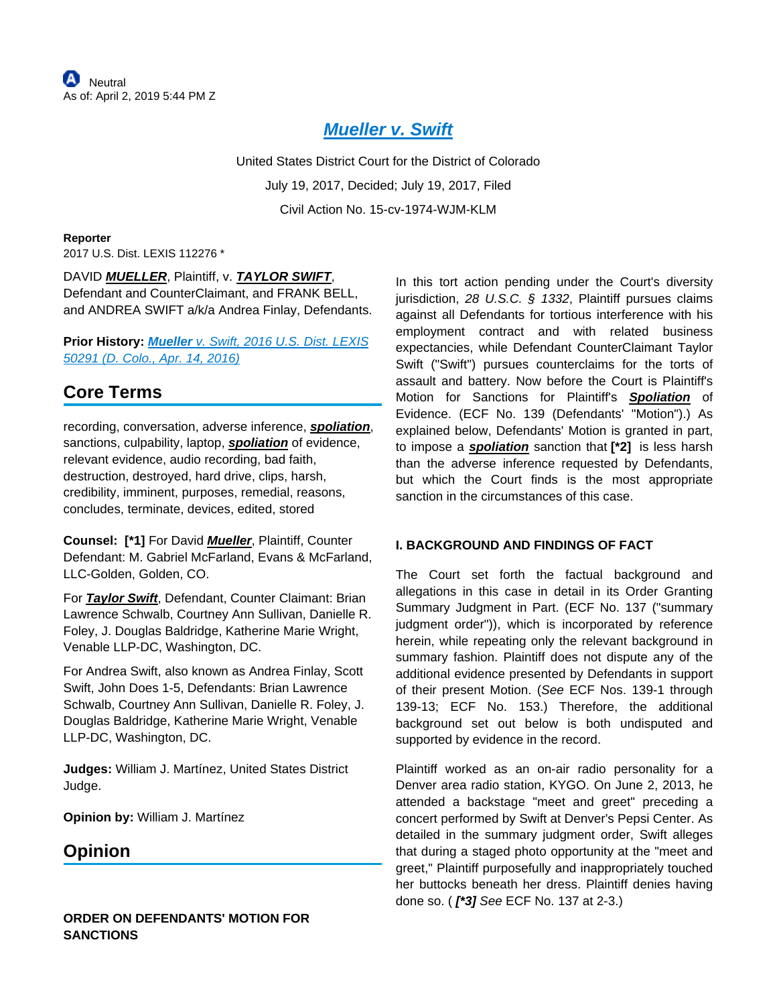## **[Mueller v. Swift](https://advance.lexis.com/api/document?collection=cases&id=urn:contentItem:5P29-2951-F04C-V0YT-00000-00&context=)**

United States District Court for the District of Colorado July 19, 2017, Decided; July 19, 2017, Filed Civil Action No. 15-cv-1974-WJM-KLM

**Reporter** 2017 U.S. Dist. LEXIS 112276 \*

DAVID **MUELLER**, Plaintiff, v. **TAYLOR SWIFT**, Defendant and CounterClaimant, and FRANK BELL, and ANDREA SWIFT a/k/a Andrea Finlay, Defendants.

### **Prior History: Mueller** [v. Swift, 2016 U.S. Dist. LEXIS](https://advance.lexis.com/api/document?collection=cases&id=urn:contentItem:5JJ2-RRS1-F04C-V341-00000-00&context=)  [50291 \(D. Colo., Apr. 14, 2016\)](https://advance.lexis.com/api/document?collection=cases&id=urn:contentItem:5JJ2-RRS1-F04C-V341-00000-00&context=)

# **Core Terms**

recording, conversation, adverse inference, **spoliation**, sanctions, culpability, laptop, **spoliation** of evidence, relevant evidence, audio recording, bad faith, destruction, destroyed, hard drive, clips, harsh, credibility, imminent, purposes, remedial, reasons, concludes, terminate, devices, edited, stored

**Counsel: [\*1]** For David **Mueller**, Plaintiff, Counter Defendant: M. Gabriel McFarland, Evans & McFarland, LLC-Golden, Golden, CO.

For **Taylor Swift**, Defendant, Counter Claimant: Brian Lawrence Schwalb, Courtney Ann Sullivan, Danielle R. Foley, J. Douglas Baldridge, Katherine Marie Wright, Venable LLP-DC, Washington, DC.

For Andrea Swift, also known as Andrea Finlay, Scott Swift, John Does 1-5, Defendants: Brian Lawrence Schwalb, Courtney Ann Sullivan, Danielle R. Foley, J. Douglas Baldridge, Katherine Marie Wright, Venable LLP-DC, Washington, DC.

**Judges:** William J. Martínez, United States District Judge.

**Opinion by:** William J. Martínez

## **Opinion**

In this tort action pending under the Court's diversity jurisdiction, 28 U.S.C. § 1332, Plaintiff pursues claims against all Defendants for tortious interference with his employment contract and with related business expectancies, while Defendant CounterClaimant Taylor Swift ("Swift") pursues counterclaims for the torts of assault and battery. Now before the Court is Plaintiff's Motion for Sanctions for Plaintiff's **Spoliation** of Evidence. (ECF No. 139 (Defendants' "Motion").) As explained below, Defendants' Motion is granted in part, to impose a **spoliation** sanction that **[\*2]** is less harsh than the adverse inference requested by Defendants, but which the Court finds is the most appropriate sanction in the circumstances of this case.

### **I. BACKGROUND AND FINDINGS OF FACT**

The Court set forth the factual background and allegations in this case in detail in its Order Granting Summary Judgment in Part. (ECF No. 137 ("summary judgment order")), which is incorporated by reference herein, while repeating only the relevant background in summary fashion. Plaintiff does not dispute any of the additional evidence presented by Defendants in support of their present Motion. (See ECF Nos. 139-1 through 139-13; ECF No. 153.) Therefore, the additional background set out below is both undisputed and supported by evidence in the record.

Plaintiff worked as an on-air radio personality for a Denver area radio station, KYGO. On June 2, 2013, he attended a backstage "meet and greet" preceding a concert performed by Swift at Denver's Pepsi Center. As detailed in the summary judgment order, Swift alleges that during a staged photo opportunity at the "meet and greet," Plaintiff purposefully and inappropriately touched her buttocks beneath her dress. Plaintiff denies having done so. ( **[\*3]** See ECF No. 137 at 2-3.)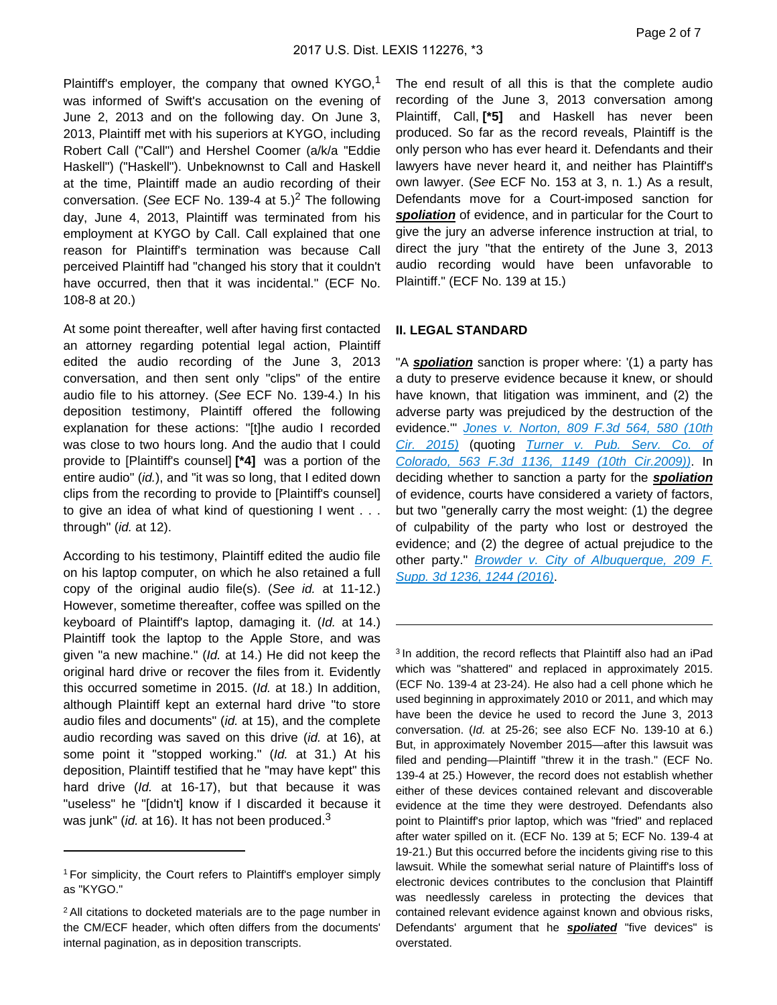Plaintiff's employer, the company that owned  $KYGO<sub>1</sub><sup>1</sup>$ was informed of Swift's accusation on the evening of June 2, 2013 and on the following day. On June 3, 2013, Plaintiff met with his superiors at KYGO, including Robert Call ("Call") and Hershel Coomer (a/k/a "Eddie Haskell") ("Haskell"). Unbeknownst to Call and Haskell at the time, Plaintiff made an audio recording of their conversation. (See ECF No. 139-4 at  $5.$ )<sup>2</sup> The following day, June 4, 2013, Plaintiff was terminated from his employment at KYGO by Call. Call explained that one reason for Plaintiff's termination was because Call perceived Plaintiff had "changed his story that it couldn't have occurred, then that it was incidental." (ECF No. 108-8 at 20.)

At some point thereafter, well after having first contacted an attorney regarding potential legal action, Plaintiff edited the audio recording of the June 3, 2013 conversation, and then sent only "clips" of the entire audio file to his attorney. (See ECF No. 139-4.) In his deposition testimony, Plaintiff offered the following explanation for these actions: "[t]he audio I recorded was close to two hours long. And the audio that I could provide to [Plaintiff's counsel] **[\*4]** was a portion of the entire audio" (id.), and "it was so long, that I edited down clips from the recording to provide to [Plaintiff's counsel] to give an idea of what kind of questioning I went . . . through" (id. at 12).

According to his testimony, Plaintiff edited the audio file on his laptop computer, on which he also retained a full copy of the original audio file(s). (See id. at 11-12.) However, sometime thereafter, coffee was spilled on the keyboard of Plaintiff's laptop, damaging it. (Id. at 14.) Plaintiff took the laptop to the Apple Store, and was given "a new machine." (Id. at 14.) He did not keep the original hard drive or recover the files from it. Evidently this occurred sometime in 2015. (Id. at 18.) In addition, although Plaintiff kept an external hard drive "to store audio files and documents" (id. at 15), and the complete audio recording was saved on this drive (id. at 16), at some point it "stopped working." (Id. at 31.) At his deposition, Plaintiff testified that he "may have kept" this hard drive (Id. at 16-17), but that because it was "useless" he "[didn't] know if I discarded it because it was junk" (*id.* at 16). It has not been produced.<sup>3</sup>

The end result of all this is that the complete audio recording of the June 3, 2013 conversation among Plaintiff, Call, **[\*5]** and Haskell has never been produced. So far as the record reveals, Plaintiff is the only person who has ever heard it. Defendants and their lawyers have never heard it, and neither has Plaintiff's own lawyer. (See ECF No. 153 at 3, n. 1.) As a result, Defendants move for a Court-imposed sanction for spoliation of evidence, and in particular for the Court to give the jury an adverse inference instruction at trial, to direct the jury "that the entirety of the June 3, 2013 audio recording would have been unfavorable to Plaintiff." (ECF No. 139 at 15.)

#### **II. LEGAL STANDARD**

"A **spoliation** sanction is proper where: '(1) a party has a duty to preserve evidence because it knew, or should have known, that litigation was imminent, and (2) the adverse party was prejudiced by the destruction of the evidence." Jones v. Norton, 809 F.3d 564, 580 (10th [Cir. 2015\)](https://advance.lexis.com/api/document?collection=cases&id=urn:contentItem:5HR4-W6V1-F04K-W081-00000-00&context=) (quoting [Turner v. Pub. Serv. Co. of](https://advance.lexis.com/api/document?collection=cases&id=urn:contentItem:4W5V-MTJ0-TXFX-F2M3-00000-00&context=)  [Colorado, 563 F.3d 1136, 1149 \(10th Cir.2009\)\)](https://advance.lexis.com/api/document?collection=cases&id=urn:contentItem:4W5V-MTJ0-TXFX-F2M3-00000-00&context=). In deciding whether to sanction a party for the **spoliation** of evidence, courts have considered a variety of factors, but two "generally carry the most weight: (1) the degree of culpability of the party who lost or destroyed the evidence; and (2) the degree of actual prejudice to the other party." Browder v. City of Albuquerque, 209 F. [Supp. 3d 1236, 1244 \(2016\)](https://advance.lexis.com/api/document?collection=cases&id=urn:contentItem:5K8W-7511-F04D-X15K-00000-00&context=).

<sup>3</sup> In addition, the record reflects that Plaintiff also had an iPad which was "shattered" and replaced in approximately 2015. (ECF No. 139-4 at 23-24). He also had a cell phone which he used beginning in approximately 2010 or 2011, and which may have been the device he used to record the June 3, 2013 conversation. (Id. at 25-26; see also ECF No. 139-10 at 6.) But, in approximately November 2015—after this lawsuit was filed and pending—Plaintiff "threw it in the trash." (ECF No. 139-4 at 25.) However, the record does not establish whether either of these devices contained relevant and discoverable evidence at the time they were destroyed. Defendants also point to Plaintiff's prior laptop, which was "fried" and replaced after water spilled on it. (ECF No. 139 at 5; ECF No. 139-4 at 19-21.) But this occurred before the incidents giving rise to this lawsuit. While the somewhat serial nature of Plaintiff's loss of electronic devices contributes to the conclusion that Plaintiff was needlessly careless in protecting the devices that contained relevant evidence against known and obvious risks, Defendants' argument that he **spoliated** "five devices" is overstated.

<sup>1</sup>For simplicity, the Court refers to Plaintiff's employer simply as "KYGO."

<sup>2</sup>All citations to docketed materials are to the page number in the CM/ECF header, which often differs from the documents' internal pagination, as in deposition transcripts.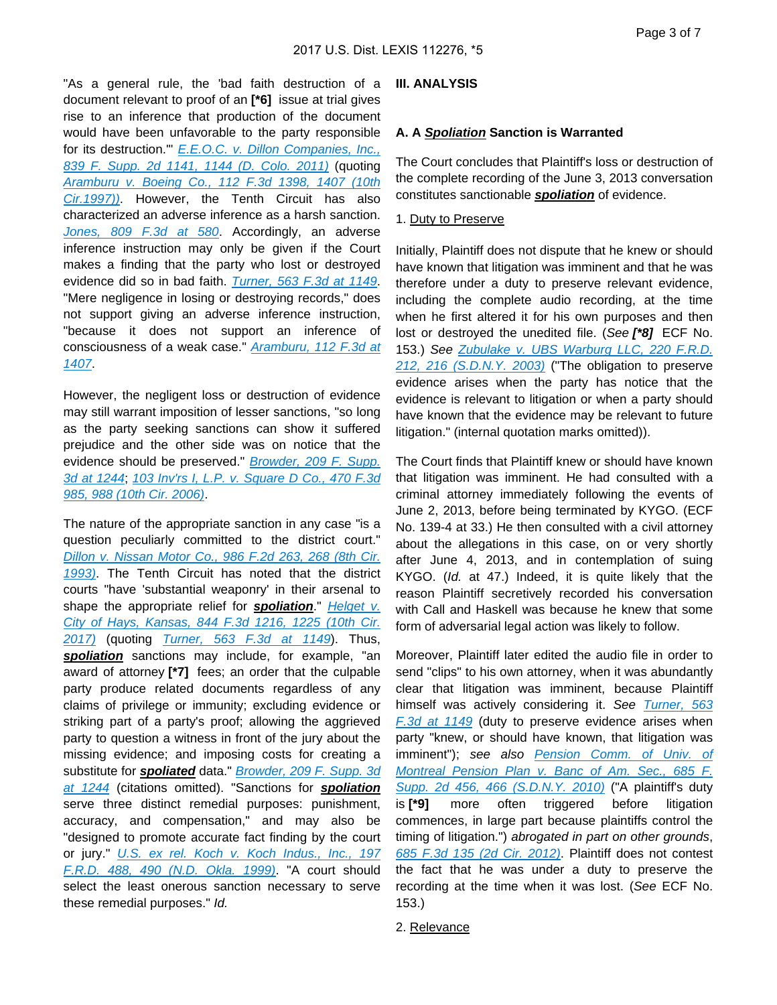"As a general rule, the 'bad faith destruction of a document relevant to proof of an **[\*6]** issue at trial gives rise to an inference that production of the document would have been unfavorable to the party responsible for its destruction.'" [E.E.O.C. v. Dillon Companies, Inc.,](https://advance.lexis.com/api/document?collection=cases&id=urn:contentItem:549M-V0F1-F04C-V00M-00000-00&context=)  [839 F. Supp. 2d 1141, 1144 \(D. Colo. 2011\)](https://advance.lexis.com/api/document?collection=cases&id=urn:contentItem:549M-V0F1-F04C-V00M-00000-00&context=) (quoting [Aramburu v. Boeing Co., 112 F.3d 1398, 1407 \(10th](https://advance.lexis.com/api/document?collection=cases&id=urn:contentItem:3S3V-4D30-00B1-D1PK-00000-00&context=)  [Cir.1997\)\)](https://advance.lexis.com/api/document?collection=cases&id=urn:contentItem:3S3V-4D30-00B1-D1PK-00000-00&context=). However, the Tenth Circuit has also characterized an adverse inference as a harsh sanction. [Jones, 809 F.3d at 580](https://advance.lexis.com/api/document?collection=cases&id=urn:contentItem:5HR4-W6V1-F04K-W081-00000-00&context=). Accordingly, an adverse inference instruction may only be given if the Court makes a finding that the party who lost or destroyed evidence did so in bad faith. [Turner, 563 F.3d at 1149](https://advance.lexis.com/api/document?collection=cases&id=urn:contentItem:4W5V-MTJ0-TXFX-F2M3-00000-00&context=). "Mere negligence in losing or destroying records," does not support giving an adverse inference instruction, "because it does not support an inference of consciousness of a weak case." [Aramburu, 112 F.3d at](https://advance.lexis.com/api/document?collection=cases&id=urn:contentItem:3S3V-4D30-00B1-D1PK-00000-00&context=)  [1407](https://advance.lexis.com/api/document?collection=cases&id=urn:contentItem:3S3V-4D30-00B1-D1PK-00000-00&context=).

However, the negligent loss or destruction of evidence may still warrant imposition of lesser sanctions, "so long as the party seeking sanctions can show it suffered prejudice and the other side was on notice that the evidence should be preserved." [Browder, 209 F. Supp.](https://advance.lexis.com/api/document?collection=cases&id=urn:contentItem:5K8W-7511-F04D-X15K-00000-00&context=)  [3d at 1244](https://advance.lexis.com/api/document?collection=cases&id=urn:contentItem:5K8W-7511-F04D-X15K-00000-00&context=); [103 Inv'rs I, L.P. v. Square D Co., 470 F.3d](https://advance.lexis.com/api/document?collection=cases&id=urn:contentItem:4MJK-VMX0-0038-X10B-00000-00&context=)  [985, 988 \(10th Cir. 2006\)](https://advance.lexis.com/api/document?collection=cases&id=urn:contentItem:4MJK-VMX0-0038-X10B-00000-00&context=).

The nature of the appropriate sanction in any case "is a question peculiarly committed to the district court." Dillon v. Nissan Motor Co., 986 F.2d 263, 268 (8th Cir. [1993\)](https://advance.lexis.com/api/document?collection=cases&id=urn:contentItem:3S4X-HN20-003B-P21G-00000-00&context=). The Tenth Circuit has noted that the district courts "have 'substantial weaponry' in their arsenal to shape the appropriate relief for **spoliation**." Helget v. [City of Hays, Kansas, 844 F.3d 1216, 1225 \(10th Cir.](https://advance.lexis.com/api/document?collection=cases&id=urn:contentItem:5MJF-WTY1-F04K-W0CT-00000-00&context=)  [2017\)](https://advance.lexis.com/api/document?collection=cases&id=urn:contentItem:5MJF-WTY1-F04K-W0CT-00000-00&context=) (quoting [Turner, 563 F.3d at 1149](https://advance.lexis.com/api/document?collection=cases&id=urn:contentItem:4W5V-MTJ0-TXFX-F2M3-00000-00&context=)). Thus, spoliation sanctions may include, for example, "an award of attorney **[\*7]** fees; an order that the culpable party produce related documents regardless of any claims of privilege or immunity; excluding evidence or striking part of a party's proof; allowing the aggrieved party to question a witness in front of the jury about the missing evidence; and imposing costs for creating a substitute for **spoliated** data." **Browder, 209 F. Supp. 3d** [at 1244](https://advance.lexis.com/api/document?collection=cases&id=urn:contentItem:5K8W-7511-F04D-X15K-00000-00&context=) (citations omitted). "Sanctions for **spoliation** serve three distinct remedial purposes: punishment, accuracy, and compensation," and may also be "designed to promote accurate fact finding by the court or jury." [U.S. ex rel. Koch v. Koch Indus., Inc., 197](https://advance.lexis.com/api/document?collection=cases&id=urn:contentItem:42C6-3JN0-0038-Y3N3-00000-00&context=)  [F.R.D. 488, 490 \(N.D. Okla. 1999\)](https://advance.lexis.com/api/document?collection=cases&id=urn:contentItem:42C6-3JN0-0038-Y3N3-00000-00&context=). "A court should select the least onerous sanction necessary to serve these remedial purposes." Id.

#### **III. ANALYSIS**

#### **A. A Spoliation Sanction is Warranted**

The Court concludes that Plaintiff's loss or destruction of the complete recording of the June 3, 2013 conversation constitutes sanctionable **spoliation** of evidence.

#### 1. Duty to Preserve

Initially, Plaintiff does not dispute that he knew or should have known that litigation was imminent and that he was therefore under a duty to preserve relevant evidence, including the complete audio recording, at the time when he first altered it for his own purposes and then lost or destroyed the unedited file. (See **[\*8]** ECF No. 153.) See Zubulake v. UBS Warburg LLC, 220 F.R.D. [212, 216 \(S.D.N.Y. 2003\)](https://advance.lexis.com/api/document?collection=cases&id=urn:contentItem:49V7-63R0-0038-Y40V-00000-00&context=) ("The obligation to preserve evidence arises when the party has notice that the evidence is relevant to litigation or when a party should have known that the evidence may be relevant to future litigation." (internal quotation marks omitted)).

The Court finds that Plaintiff knew or should have known that litigation was imminent. He had consulted with a criminal attorney immediately following the events of June 2, 2013, before being terminated by KYGO. (ECF No. 139-4 at 33.) He then consulted with a civil attorney about the allegations in this case, on or very shortly after June 4, 2013, and in contemplation of suing KYGO. (Id. at 47.) Indeed, it is quite likely that the reason Plaintiff secretively recorded his conversation with Call and Haskell was because he knew that some form of adversarial legal action was likely to follow.

Moreover, Plaintiff later edited the audio file in order to send "clips" to his own attorney, when it was abundantly clear that litigation was imminent, because Plaintiff himself was actively considering it. See Turner, 563 [F.3d at 1149](https://advance.lexis.com/api/document?collection=cases&id=urn:contentItem:4W5V-MTJ0-TXFX-F2M3-00000-00&context=) (duty to preserve evidence arises when party "knew, or should have known, that litigation was imminent"); see also [Pension Comm. of Univ. of](https://advance.lexis.com/api/document?collection=cases&id=urn:contentItem:7XHX-5810-YB0N-V0CR-00000-00&context=) [Montreal Pension Plan v. Banc of Am. Sec., 685 F.](https://advance.lexis.com/api/document?collection=cases&id=urn:contentItem:7XHX-5810-YB0N-V0CR-00000-00&context=) [Supp. 2d 456, 466 \(S.D.N.Y. 2010\)](https://advance.lexis.com/api/document?collection=cases&id=urn:contentItem:7XHX-5810-YB0N-V0CR-00000-00&context=) ("A plaintiff's duty is **[\*9]** more often triggered before litigation commences, in large part because plaintiffs control the timing of litigation.") abrogated in part on other grounds, [685 F.3d 135 \(2d Cir. 2012\)](https://advance.lexis.com/api/document?collection=cases&id=urn:contentItem:562Y-7Y61-F04K-J0X1-00000-00&context=). Plaintiff does not contest the fact that he was under a duty to preserve the recording at the time when it was lost. (See ECF No. 153.)

2. Relevance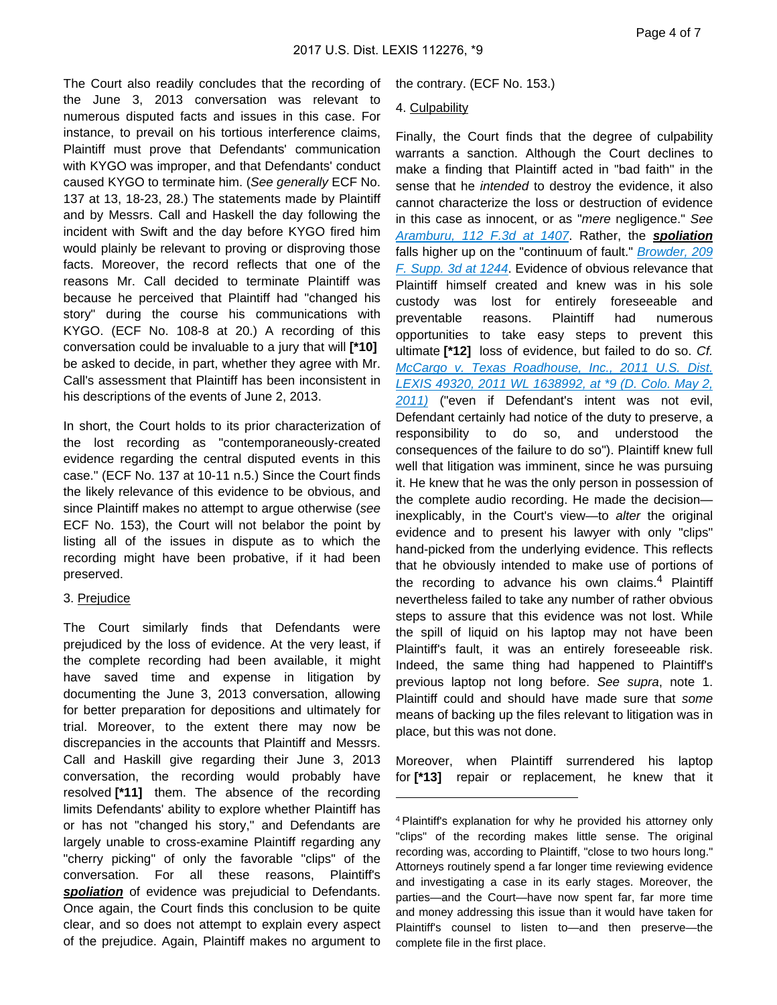The Court also readily concludes that the recording of the June 3, 2013 conversation was relevant to numerous disputed facts and issues in this case. For instance, to prevail on his tortious interference claims, Plaintiff must prove that Defendants' communication with KYGO was improper, and that Defendants' conduct caused KYGO to terminate him. (See generally ECF No. 137 at 13, 18-23, 28.) The statements made by Plaintiff and by Messrs. Call and Haskell the day following the incident with Swift and the day before KYGO fired him would plainly be relevant to proving or disproving those facts. Moreover, the record reflects that one of the reasons Mr. Call decided to terminate Plaintiff was because he perceived that Plaintiff had "changed his story" during the course his communications with KYGO. (ECF No. 108-8 at 20.) A recording of this conversation could be invaluable to a jury that will **[\*10]**  be asked to decide, in part, whether they agree with Mr. Call's assessment that Plaintiff has been inconsistent in his descriptions of the events of June 2, 2013.

In short, the Court holds to its prior characterization of the lost recording as "contemporaneously-created evidence regarding the central disputed events in this case." (ECF No. 137 at 10-11 n.5.) Since the Court finds the likely relevance of this evidence to be obvious, and since Plaintiff makes no attempt to argue otherwise (see ECF No. 153), the Court will not belabor the point by listing all of the issues in dispute as to which the recording might have been probative, if it had been preserved.

#### 3. Prejudice

The Court similarly finds that Defendants were prejudiced by the loss of evidence. At the very least, if the complete recording had been available, it might have saved time and expense in litigation by documenting the June 3, 2013 conversation, allowing for better preparation for depositions and ultimately for trial. Moreover, to the extent there may now be discrepancies in the accounts that Plaintiff and Messrs. Call and Haskill give regarding their June 3, 2013 conversation, the recording would probably have resolved **[\*11]** them. The absence of the recording limits Defendants' ability to explore whether Plaintiff has or has not "changed his story," and Defendants are largely unable to cross-examine Plaintiff regarding any "cherry picking" of only the favorable "clips" of the conversation. For all these reasons, Plaintiff's spoliation of evidence was prejudicial to Defendants. Once again, the Court finds this conclusion to be quite clear, and so does not attempt to explain every aspect of the prejudice. Again, Plaintiff makes no argument to

the contrary. (ECF No. 153.)

#### 4. Culpability

Finally, the Court finds that the degree of culpability warrants a sanction. Although the Court declines to make a finding that Plaintiff acted in "bad faith" in the sense that he intended to destroy the evidence, it also cannot characterize the loss or destruction of evidence in this case as innocent, or as "mere negligence." See [Aramburu, 112 F.3d at 1407](https://advance.lexis.com/api/document?collection=cases&id=urn:contentItem:3S3V-4D30-00B1-D1PK-00000-00&context=). Rather, the **spoliation** falls higher up on the "continuum of fault." Browder, 209 [F. Supp. 3d at 1244](https://advance.lexis.com/api/document?collection=cases&id=urn:contentItem:5K8W-7511-F04D-X15K-00000-00&context=). Evidence of obvious relevance that Plaintiff himself created and knew was in his sole custody was lost for entirely foreseeable and preventable reasons. Plaintiff had numerous opportunities to take easy steps to prevent this ultimate **[\*12]** loss of evidence, but failed to do so. Cf. [McCargo v. Texas Roadhouse, Inc., 2011 U.S. Dist.](https://advance.lexis.com/api/document?collection=cases&id=urn:contentItem:52TV-WJD1-F04C-V08J-00000-00&context=) [LEXIS 49320, 2011 WL 1638992, at \\*9 \(D. Colo. May 2,](https://advance.lexis.com/api/document?collection=cases&id=urn:contentItem:52TV-WJD1-F04C-V08J-00000-00&context=) [2011\)](https://advance.lexis.com/api/document?collection=cases&id=urn:contentItem:52TV-WJD1-F04C-V08J-00000-00&context=) ("even if Defendant's intent was not evil, Defendant certainly had notice of the duty to preserve, a responsibility to do so, and understood the consequences of the failure to do so"). Plaintiff knew full well that litigation was imminent, since he was pursuing it. He knew that he was the only person in possession of the complete audio recording. He made the decision inexplicably, in the Court's view—to alter the original evidence and to present his lawyer with only "clips" hand-picked from the underlying evidence. This reflects that he obviously intended to make use of portions of the recording to advance his own claims.<sup>4</sup> Plaintiff nevertheless failed to take any number of rather obvious steps to assure that this evidence was not lost. While the spill of liquid on his laptop may not have been Plaintiff's fault, it was an entirely foreseeable risk. Indeed, the same thing had happened to Plaintiff's previous laptop not long before. See supra, note 1. Plaintiff could and should have made sure that some means of backing up the files relevant to litigation was in place, but this was not done.

Moreover, when Plaintiff surrendered his laptop for **[\*13]** repair or replacement, he knew that it

<sup>4</sup>Plaintiff's explanation for why he provided his attorney only "clips" of the recording makes little sense. The original recording was, according to Plaintiff, "close to two hours long." Attorneys routinely spend a far longer time reviewing evidence and investigating a case in its early stages. Moreover, the parties—and the Court—have now spent far, far more time and money addressing this issue than it would have taken for Plaintiff's counsel to listen to—and then preserve—the complete file in the first place.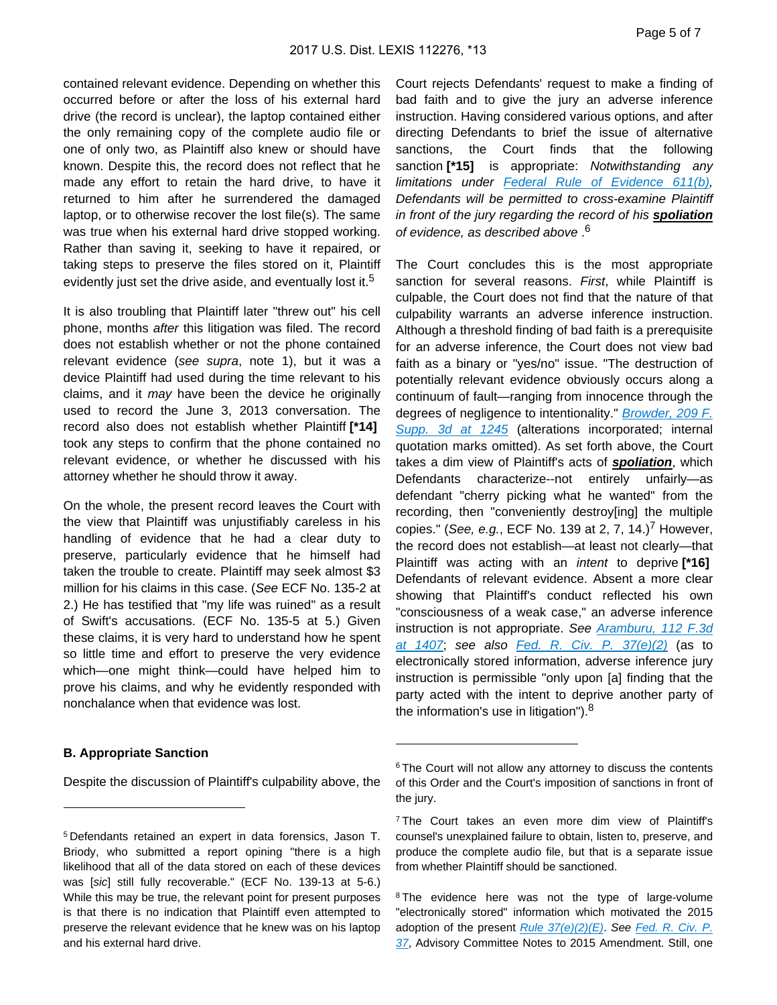contained relevant evidence. Depending on whether this occurred before or after the loss of his external hard drive (the record is unclear), the laptop contained either the only remaining copy of the complete audio file or one of only two, as Plaintiff also knew or should have known. Despite this, the record does not reflect that he made any effort to retain the hard drive, to have it returned to him after he surrendered the damaged laptop, or to otherwise recover the lost file(s). The same was true when his external hard drive stopped working. Rather than saving it, seeking to have it repaired, or taking steps to preserve the files stored on it, Plaintiff evidently just set the drive aside, and eventually lost it.<sup>5</sup>

It is also troubling that Plaintiff later "threw out" his cell phone, months after this litigation was filed. The record does not establish whether or not the phone contained relevant evidence (see supra, note 1), but it was a device Plaintiff had used during the time relevant to his claims, and it may have been the device he originally used to record the June 3, 2013 conversation. The record also does not establish whether Plaintiff **[\*14]**  took any steps to confirm that the phone contained no relevant evidence, or whether he discussed with his attorney whether he should throw it away.

On the whole, the present record leaves the Court with the view that Plaintiff was unjustifiably careless in his handling of evidence that he had a clear duty to preserve, particularly evidence that he himself had taken the trouble to create. Plaintiff may seek almost \$3 million for his claims in this case. (See ECF No. 135-2 at 2.) He has testified that "my life was ruined" as a result of Swift's accusations. (ECF No. 135-5 at 5.) Given these claims, it is very hard to understand how he spent so little time and effort to preserve the very evidence which—one might think—could have helped him to prove his claims, and why he evidently responded with nonchalance when that evidence was lost.

#### **B. Appropriate Sanction**

Despite the discussion of Plaintiff's culpability above, the

Court rejects Defendants' request to make a finding of bad faith and to give the jury an adverse inference instruction. Having considered various options, and after directing Defendants to brief the issue of alternative sanctions, the Court finds that the following sanction **[\*15]** is appropriate: Notwithstanding any limitations under [Federal Rule of Evidence 611\(b\)](https://advance.lexis.com/api/document?collection=statutes-legislation&id=urn:contentItem:5GYC-2991-FG36-1208-00000-00&context=), Defendants will be permitted to cross-examine Plaintiff in front of the jury regarding the record of his **spoliation** of evidence, as described above . 6

The Court concludes this is the most appropriate sanction for several reasons. First, while Plaintiff is culpable, the Court does not find that the nature of that culpability warrants an adverse inference instruction. Although a threshold finding of bad faith is a prerequisite for an adverse inference, the Court does not view bad faith as a binary or "yes/no" issue. "The destruction of potentially relevant evidence obviously occurs along a continuum of fault—ranging from innocence through the degrees of negligence to intentionality." Browder, 209 F. [Supp. 3d at 1245](https://advance.lexis.com/api/document?collection=cases&id=urn:contentItem:5K8W-7511-F04D-X15K-00000-00&context=) (alterations incorporated; internal quotation marks omitted). As set forth above, the Court takes a dim view of Plaintiff's acts of **spoliation**, which Defendants characterize--not entirely unfairly—as defendant "cherry picking what he wanted" from the recording, then "conveniently destroy[ing] the multiple copies." (See, e.g., ECF No. 139 at 2, 7, 14.)<sup>7</sup> However, the record does not establish—at least not clearly—that Plaintiff was acting with an intent to deprive **[\*16]**  Defendants of relevant evidence. Absent a more clear showing that Plaintiff's conduct reflected his own "consciousness of a weak case," an adverse inference instruction is not appropriate. See **Aramburu**, 112 F.3d at  $1407$ ; see also Fed. R. Civ. P.  $37(e)(2)$  (as to electronically stored information, adverse inference jury instruction is permissible "only upon [a] finding that the party acted with the intent to deprive another party of the information's use in litigation"). $8$ 

<sup>5</sup>Defendants retained an expert in data forensics, Jason T. Briody, who submitted a report opining "there is a high likelihood that all of the data stored on each of these devices was [sic] still fully recoverable." (ECF No. 139-13 at 5-6.) While this may be true, the relevant point for present purposes is that there is no indication that Plaintiff even attempted to preserve the relevant evidence that he knew was on his laptop and his external hard drive.

<sup>&</sup>lt;sup>6</sup> The Court will not allow any attorney to discuss the contents of this Order and the Court's imposition of sanctions in front of the jury.

<sup>7</sup>The Court takes an even more dim view of Plaintiff's counsel's unexplained failure to obtain, listen to, preserve, and produce the complete audio file, but that is a separate issue from whether Plaintiff should be sanctioned.

<sup>&</sup>lt;sup>8</sup>The evidence here was not the type of large-volume "electronically stored" information which motivated the 2015 adoption of the present  $Rule 37(e)(2)(E)$ . See Fed. R. Civ. P. [37](https://advance.lexis.com/api/document?collection=statutes-legislation&id=urn:contentItem:8JDD-11V2-8T6X-7291-00000-00&context=), Advisory Committee Notes to 2015 Amendment. Still, one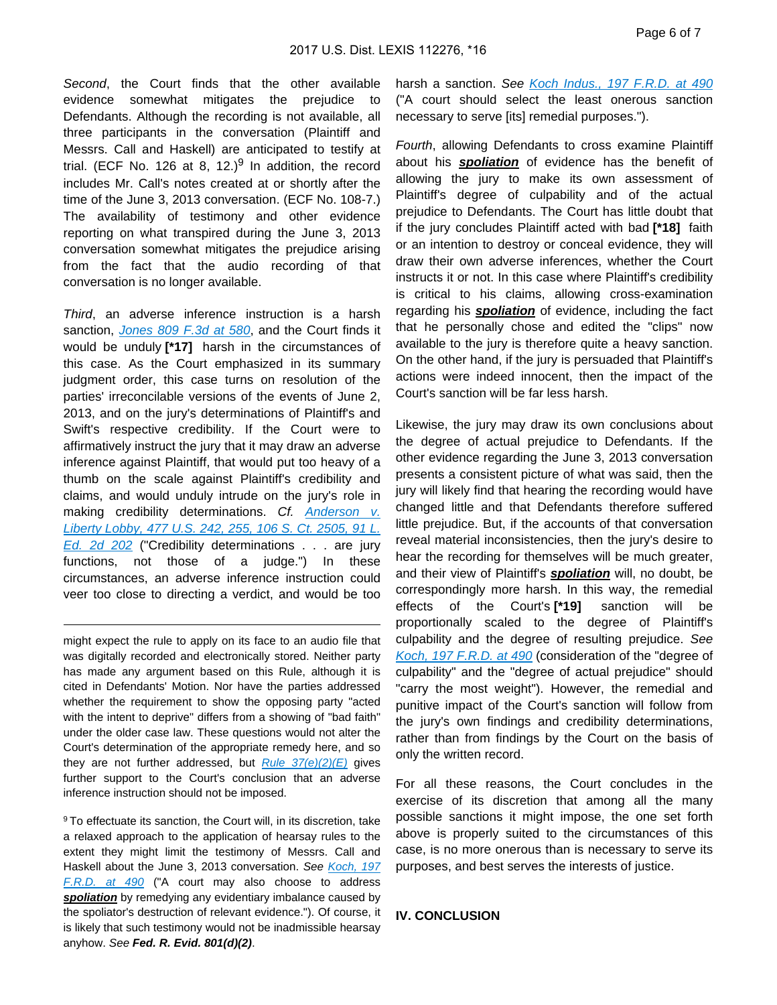Second, the Court finds that the other available evidence somewhat mitigates the prejudice to Defendants. Although the recording is not available, all three participants in the conversation (Plaintiff and Messrs. Call and Haskell) are anticipated to testify at trial. (ECF No. 126 at 8, 12.) $9$  In addition, the record includes Mr. Call's notes created at or shortly after the time of the June 3, 2013 conversation. (ECF No. 108-7.) The availability of testimony and other evidence reporting on what transpired during the June 3, 2013 conversation somewhat mitigates the prejudice arising from the fact that the audio recording of that conversation is no longer available.

Third, an adverse inference instruction is a harsh sanction, [Jones 809 F.3d at 580](https://advance.lexis.com/api/document?collection=cases&id=urn:contentItem:5HR4-W6V1-F04K-W081-00000-00&context=), and the Court finds it would be unduly **[\*17]** harsh in the circumstances of this case. As the Court emphasized in its summary judgment order, this case turns on resolution of the parties' irreconcilable versions of the events of June 2, 2013, and on the jury's determinations of Plaintiff's and Swift's respective credibility. If the Court were to affirmatively instruct the jury that it may draw an adverse inference against Plaintiff, that would put too heavy of a thumb on the scale against Plaintiff's credibility and claims, and would unduly intrude on the jury's role in making credibility determinations. Cf. Anderson v. [Liberty Lobby, 477 U.S. 242, 255, 106 S. Ct. 2505, 91 L.](https://advance.lexis.com/api/document?collection=cases&id=urn:contentItem:3S4X-6H80-0039-N37M-00000-00&context=)  [Ed. 2d 202](https://advance.lexis.com/api/document?collection=cases&id=urn:contentItem:3S4X-6H80-0039-N37M-00000-00&context=) ("Credibility determinations . . . are jury functions, not those of a judge.") In these circumstances, an adverse inference instruction could veer too close to directing a verdict, and would be too

might expect the rule to apply on its face to an audio file that was digitally recorded and electronically stored. Neither party has made any argument based on this Rule, although it is cited in Defendants' Motion. Nor have the parties addressed whether the requirement to show the opposing party "acted with the intent to deprive" differs from a showing of "bad faith" under the older case law. These questions would not alter the Court's determination of the appropriate remedy here, and so they are not further addressed, but Rule  $37(e)(2)(E)$  gives further support to the Court's conclusion that an adverse inference instruction should not be imposed.

<sup>9</sup>To effectuate its sanction, the Court will, in its discretion, take a relaxed approach to the application of hearsay rules to the extent they might limit the testimony of Messrs. Call and Haskell about the June 3, 2013 conversation. See [Koch, 197](https://advance.lexis.com/api/document?collection=cases&id=urn:contentItem:42C6-3JN0-0038-Y3N3-00000-00&context=)  [F.R.D. at 490](https://advance.lexis.com/api/document?collection=cases&id=urn:contentItem:42C6-3JN0-0038-Y3N3-00000-00&context=) ("A court may also choose to address **spoliation** by remedying any evidentiary imbalance caused by the spoliator's destruction of relevant evidence."). Of course, it is likely that such testimony would not be inadmissible hearsay anyhow. See **Fed. R. Evid. 801(d)(2)**.

harsh a sanction. See [Koch Indus., 197 F.R.D. at 490](https://advance.lexis.com/api/document?collection=cases&id=urn:contentItem:42C6-3JN0-0038-Y3N3-00000-00&context=) ("A court should select the least onerous sanction necessary to serve [its] remedial purposes.").

Fourth, allowing Defendants to cross examine Plaintiff about his **spoliation** of evidence has the benefit of allowing the jury to make its own assessment of Plaintiff's degree of culpability and of the actual prejudice to Defendants. The Court has little doubt that if the jury concludes Plaintiff acted with bad **[\*18]** faith or an intention to destroy or conceal evidence, they will draw their own adverse inferences, whether the Court instructs it or not. In this case where Plaintiff's credibility is critical to his claims, allowing cross-examination regarding his **spoliation** of evidence, including the fact that he personally chose and edited the "clips" now available to the jury is therefore quite a heavy sanction. On the other hand, if the jury is persuaded that Plaintiff's actions were indeed innocent, then the impact of the Court's sanction will be far less harsh.

Likewise, the jury may draw its own conclusions about the degree of actual prejudice to Defendants. If the other evidence regarding the June 3, 2013 conversation presents a consistent picture of what was said, then the jury will likely find that hearing the recording would have changed little and that Defendants therefore suffered little prejudice. But, if the accounts of that conversation reveal material inconsistencies, then the jury's desire to hear the recording for themselves will be much greater, and their view of Plaintiff's **spoliation** will, no doubt, be correspondingly more harsh. In this way, the remedial effects of the Court's **[\*19]** sanction will be proportionally scaled to the degree of Plaintiff's culpability and the degree of resulting prejudice. See [Koch, 197 F.R.D. at 490](https://advance.lexis.com/api/document?collection=cases&id=urn:contentItem:42C6-3JN0-0038-Y3N3-00000-00&context=) (consideration of the "degree of culpability" and the "degree of actual prejudice" should "carry the most weight"). However, the remedial and punitive impact of the Court's sanction will follow from the jury's own findings and credibility determinations, rather than from findings by the Court on the basis of only the written record.

For all these reasons, the Court concludes in the exercise of its discretion that among all the many possible sanctions it might impose, the one set forth above is properly suited to the circumstances of this case, is no more onerous than is necessary to serve its purposes, and best serves the interests of justice.

#### **IV. CONCLUSION**